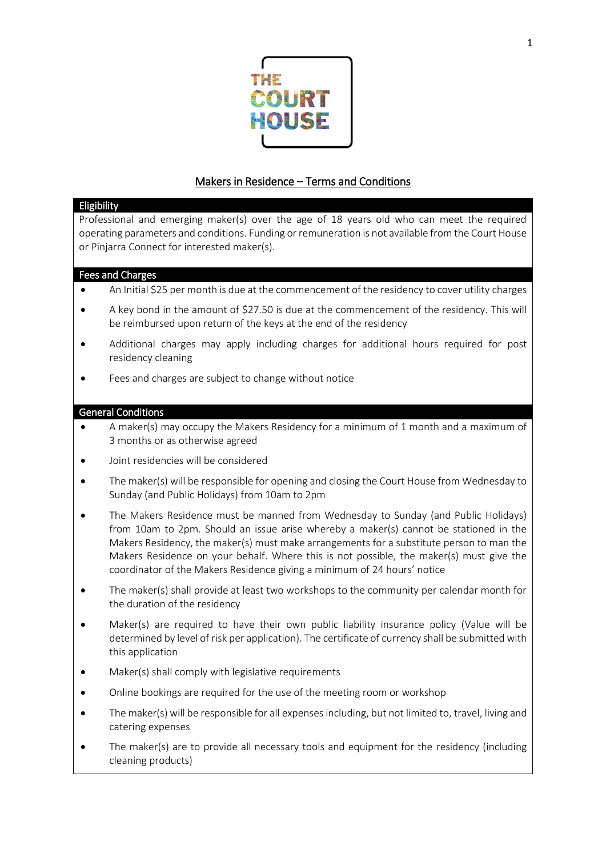

## Makers in Residence – Terms and Conditions

## Eligibility

Professional and emerging maker(s) over the age of 18 years old who can meet the required operating parameters and conditions. Funding or remuneration is not available from the Court House or Pinjarra Connect for interested maker(s).

## Fees and Charges

- An Initial \$25 per month is due at the commencement of the residency to cover utility charges
- A key bond in the amount of \$27.50 is due at the commencement of the residency. This will be reimbursed upon return of the keys at the end of the residency
- Additional charges may apply including charges for additional hours required for post residency cleaning
- Fees and charges are subject to change without notice

## General Conditions

- A maker(s) may occupy the Makers Residency for a minimum of 1 month and a maximum of 3 months or as otherwise agreed
- Joint residencies will be considered
- The maker(s) will be responsible for opening and closing the Court House from Wednesday to Sunday (and Public Holidays) from 10am to 2pm
- The Makers Residence must be manned from Wednesday to Sunday (and Public Holidays) from 10am to 2pm. Should an issue arise whereby a maker(s) cannot be stationed in the Makers Residency, the maker(s) must make arrangements for a substitute person to man the Makers Residence on your behalf. Where this is not possible, the maker(s) must give the coordinator of the Makers Residence giving a minimum of 24 hours' notice
- The maker(s) shall provide at least two workshops to the community per calendar month for the duration of the residency
- Maker(s) are required to have their own public liability insurance policy (Value will be determined by level of risk per application). The certificate of currency shall be submitted with this application
- Maker(s) shall comply with legislative requirements
- Online bookings are required for the use of the meeting room or workshop
- The maker(s) will be responsible for all expenses including, but not limited to, travel, living and catering expenses
- The maker(s) are to provide all necessary tools and equipment for the residency (including cleaning products)